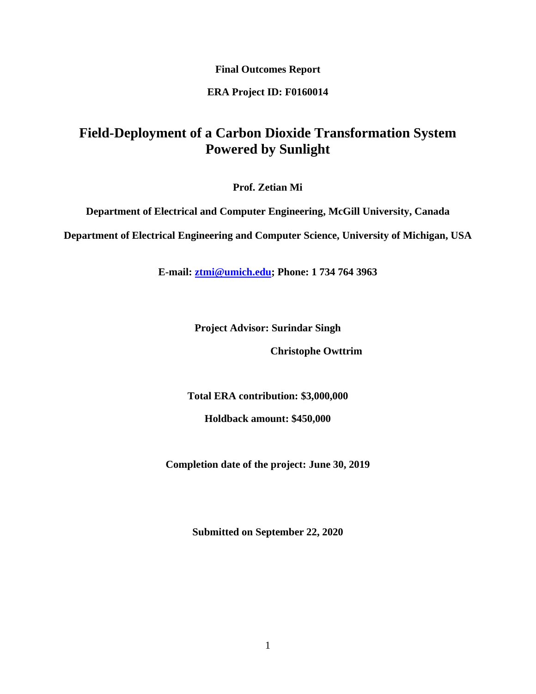**Final Outcomes Report**

### **ERA Project ID: F0160014**

# **Field-Deployment of a Carbon Dioxide Transformation System Powered by Sunlight**

**Prof. Zetian Mi**

**Department of Electrical and Computer Engineering, McGill University, Canada**

**Department of Electrical Engineering and Computer Science, University of Michigan, USA**

**E-mail: ztmi@umich.edu; Phone: 1 734 764 3963**

**Project Advisor: Surindar Singh**

 **Christophe Owttrim** 

**Total ERA contribution: \$3,000,000**

**Holdback amount: \$450,000**

**Completion date of the project: June 30, 2019**

**Submitted on September 22, 2020**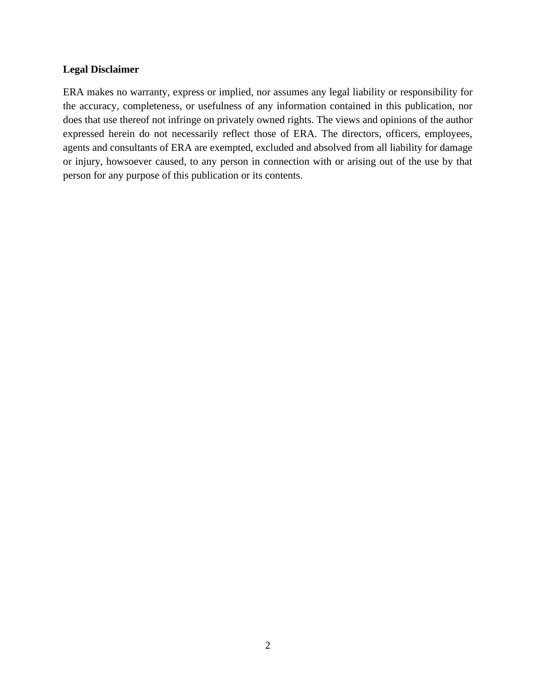### **Legal Disclaimer**

ERA makes no warranty, express or implied, nor assumes any legal liability or responsibility for the accuracy, completeness, or usefulness of any information contained in this publication, nor does that use thereof not infringe on privately owned rights. The views and opinions of the author expressed herein do not necessarily reflect those of ERA. The directors, officers, employees, agents and consultants of ERA are exempted, excluded and absolved from all liability for damage or injury, howsoever caused, to any person in connection with or arising out of the use by that person for any purpose of this publication or its contents.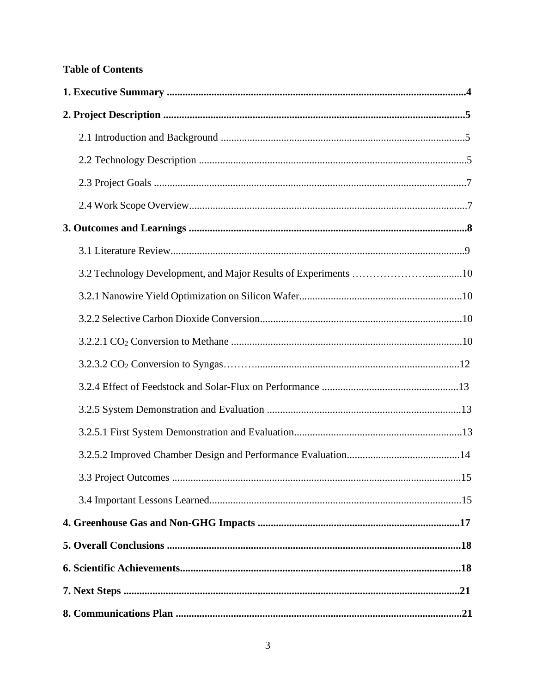## **Table of Contents**

| 3.3 Project Outcomes | .15 |
|----------------------|-----|
|                      |     |
|                      |     |
|                      |     |
|                      |     |
|                      |     |
|                      |     |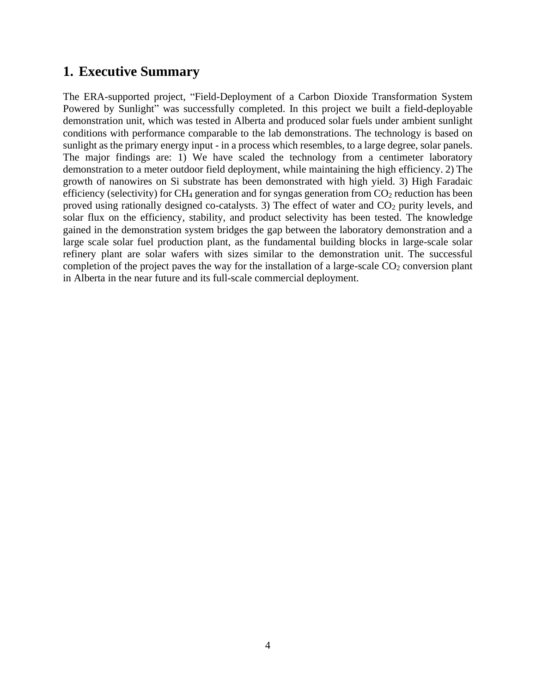## **1. Executive Summary**

The ERA-supported project, "Field-Deployment of a Carbon Dioxide Transformation System Powered by Sunlight" was successfully completed. In this project we built a field-deployable demonstration unit, which was tested in Alberta and produced solar fuels under ambient sunlight conditions with performance comparable to the lab demonstrations. The technology is based on sunlight as the primary energy input - in a process which resembles, to a large degree, solar panels. The major findings are: 1) We have scaled the technology from a centimeter laboratory demonstration to a meter outdoor field deployment, while maintaining the high efficiency. 2) The growth of nanowires on Si substrate has been demonstrated with high yield. 3) High Faradaic efficiency (selectivity) for  $CH_4$  generation and for syngas generation from  $CO_2$  reduction has been proved using rationally designed co-catalysts. 3) The effect of water and  $CO<sub>2</sub>$  purity levels, and solar flux on the efficiency, stability, and product selectivity has been tested. The knowledge gained in the demonstration system bridges the gap between the laboratory demonstration and a large scale solar fuel production plant, as the fundamental building blocks in large-scale solar refinery plant are solar wafers with sizes similar to the demonstration unit. The successful completion of the project paves the way for the installation of a large-scale  $CO<sub>2</sub>$  conversion plant in Alberta in the near future and its full-scale commercial deployment.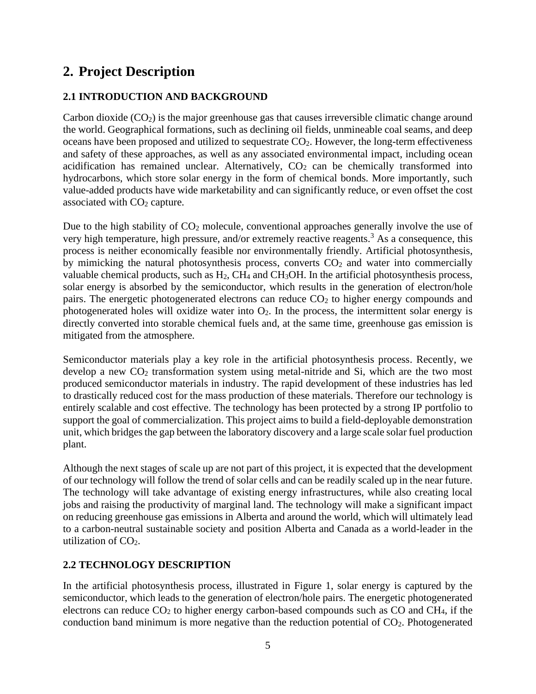# **2. Project Description**

## **2.1 INTRODUCTION AND BACKGROUND**

Carbon dioxide  $(CO<sub>2</sub>)$  is the major greenhouse gas that causes irreversible climatic change around the world. Geographical formations, such as declining oil fields, unmineable coal seams, and deep oceans have been proposed and utilized to sequestrate  $CO<sub>2</sub>$ . However, the long-term effectiveness and safety of these approaches, as well as any associated environmental impact, including ocean acidification has remained unclear. Alternatively,  $CO<sub>2</sub>$  can be chemically transformed into hydrocarbons, which store solar energy in the form of chemical bonds. More importantly, such value-added products have wide marketability and can significantly reduce, or even offset the cost associated with CO<sub>2</sub> capture.

Due to the high stability of  $CO<sub>2</sub>$  molecule, conventional approaches generally involve the use of very high temperature, high pressure, and/or extremely reactive reagents.<sup>3</sup> As a consequence, this process is neither economically feasible nor environmentally friendly. Artificial photosynthesis, by mimicking the natural photosynthesis process, converts  $CO<sub>2</sub>$  and water into commercially valuable chemical products, such as  $H_2$ , CH<sub>4</sub> and CH<sub>3</sub>OH. In the artificial photosynthesis process, solar energy is absorbed by the semiconductor, which results in the generation of electron/hole pairs. The energetic photogenerated electrons can reduce  $CO<sub>2</sub>$  to higher energy compounds and photogenerated holes will oxidize water into  $O_2$ . In the process, the intermittent solar energy is directly converted into storable chemical fuels and, at the same time, greenhouse gas emission is mitigated from the atmosphere.

Semiconductor materials play a key role in the artificial photosynthesis process. Recently, we develop a new  $CO<sub>2</sub>$  transformation system using metal-nitride and Si, which are the two most produced semiconductor materials in industry. The rapid development of these industries has led to drastically reduced cost for the mass production of these materials. Therefore our technology is entirely scalable and cost effective. The technology has been protected by a strong IP portfolio to support the goal of commercialization. This project aims to build a field-deployable demonstration unit, which bridges the gap between the laboratory discovery and a large scale solar fuel production plant.

Although the next stages of scale up are not part of this project, it is expected that the development of our technology will follow the trend of solar cells and can be readily scaled up in the near future. The technology will take advantage of existing energy infrastructures, while also creating local jobs and raising the productivity of marginal land. The technology will make a significant impact on reducing greenhouse gas emissions in Alberta and around the world, which will ultimately lead to a carbon-neutral sustainable society and position Alberta and Canada as a world-leader in the utilization of  $CO<sub>2</sub>$ .

## **2.2 TECHNOLOGY DESCRIPTION**

In the artificial photosynthesis process, illustrated in Figure 1, solar energy is captured by the semiconductor, which leads to the generation of electron/hole pairs. The energetic photogenerated electrons can reduce  $CO<sub>2</sub>$  to higher energy carbon-based compounds such as  $CO$  and  $CH<sub>4</sub>$ , if the conduction band minimum is more negative than the reduction potential of  $CO<sub>2</sub>$ . Photogenerated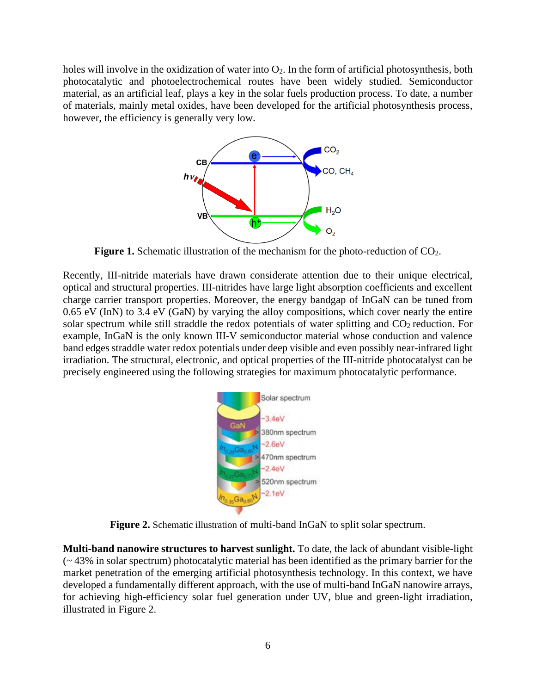holes will involve in the oxidization of water into  $O_2$ . In the form of artificial photosynthesis, both photocatalytic and photoelectrochemical routes have been widely studied. Semiconductor material, as an artificial leaf, plays a key in the solar fuels production process. To date, a number of materials, mainly metal oxides, have been developed for the artificial photosynthesis process, however, the efficiency is generally very low.



**Figure 1.** Schematic illustration of the mechanism for the photo-reduction of CO<sub>2</sub>.

Recently, III-nitride materials have drawn considerate attention due to their unique electrical, optical and structural properties. III-nitrides have large light absorption coefficients and excellent charge carrier transport properties. Moreover, the energy bandgap of InGaN can be tuned from 0.65 eV (InN) to 3.4 eV (GaN) by varying the alloy compositions, which cover nearly the entire solar spectrum while still straddle the redox potentials of water splitting and  $CO<sub>2</sub>$  reduction. For example, InGaN is the only known III-V semiconductor material whose conduction and valence band edges straddle water redox potentials under deep visible and even possibly near-infrared light irradiation. The structural, electronic, and optical properties of the III-nitride photocatalyst can be precisely engineered using the following strategies for maximum photocatalytic performance.



**Figure 2.** Schematic illustration of multi-band InGaN to split solar spectrum.

**Multi-band nanowire structures to harvest sunlight.** To date, the lack of abundant visible-light (~ 43% in solar spectrum) photocatalytic material has been identified as the primary barrier for the market penetration of the emerging artificial photosynthesis technology. In this context, we have developed a fundamentally different approach, with the use of multi-band InGaN nanowire arrays, for achieving high-efficiency solar fuel generation under UV, blue and green-light irradiation, illustrated in Figure 2.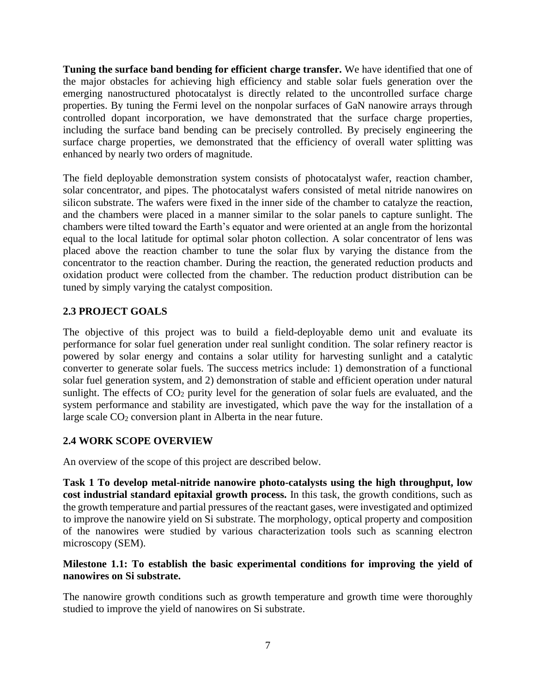**Tuning the surface band bending for efficient charge transfer.** We have identified that one of the major obstacles for achieving high efficiency and stable solar fuels generation over the emerging nanostructured photocatalyst is directly related to the uncontrolled surface charge properties. By tuning the Fermi level on the nonpolar surfaces of GaN nanowire arrays through controlled dopant incorporation, we have demonstrated that the surface charge properties, including the surface band bending can be precisely controlled. By precisely engineering the surface charge properties, we demonstrated that the efficiency of overall water splitting was enhanced by nearly two orders of magnitude.

The field deployable demonstration system consists of photocatalyst wafer, reaction chamber, solar concentrator, and pipes. The photocatalyst wafers consisted of metal nitride nanowires on silicon substrate. The wafers were fixed in the inner side of the chamber to catalyze the reaction, and the chambers were placed in a manner similar to the solar panels to capture sunlight. The chambers were tilted toward the Earth's equator and were oriented at an angle from the horizontal equal to the local latitude for optimal solar photon collection. A solar concentrator of lens was placed above the reaction chamber to tune the solar flux by varying the distance from the concentrator to the reaction chamber. During the reaction, the generated reduction products and oxidation product were collected from the chamber. The reduction product distribution can be tuned by simply varying the catalyst composition.

## **2.3 PROJECT GOALS**

The objective of this project was to build a field-deployable demo unit and evaluate its performance for solar fuel generation under real sunlight condition. The solar refinery reactor is powered by solar energy and contains a solar utility for harvesting sunlight and a catalytic converter to generate solar fuels. The success metrics include: 1) demonstration of a functional solar fuel generation system, and 2) demonstration of stable and efficient operation under natural sunlight. The effects of  $CO<sub>2</sub>$  purity level for the generation of solar fuels are evaluated, and the system performance and stability are investigated, which pave the way for the installation of a large scale CO<sub>2</sub> conversion plant in Alberta in the near future.

## **2.4 WORK SCOPE OVERVIEW**

An overview of the scope of this project are described below.

**Task 1 To develop metal-nitride nanowire photo-catalysts using the high throughput, low cost industrial standard epitaxial growth process.** In this task, the growth conditions, such as the growth temperature and partial pressures of the reactant gases, were investigated and optimized to improve the nanowire yield on Si substrate. The morphology, optical property and composition of the nanowires were studied by various characterization tools such as scanning electron microscopy (SEM).

### **Milestone 1.1: To establish the basic experimental conditions for improving the yield of nanowires on Si substrate.**

The nanowire growth conditions such as growth temperature and growth time were thoroughly studied to improve the yield of nanowires on Si substrate.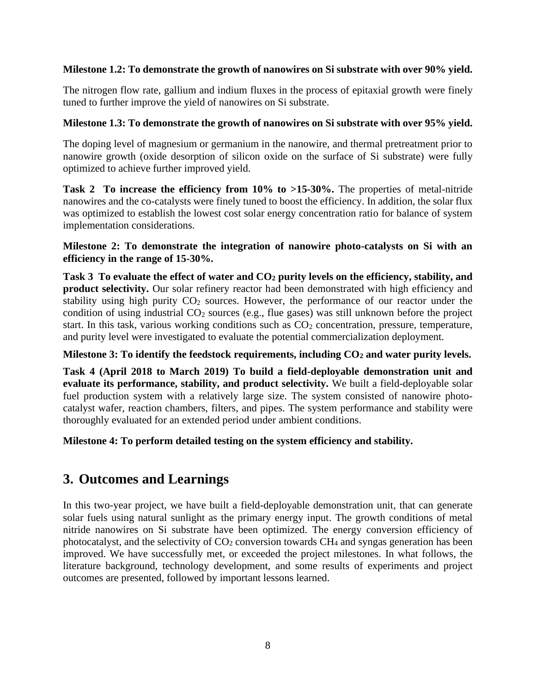### **Milestone 1.2: To demonstrate the growth of nanowires on Si substrate with over 90% yield.**

The nitrogen flow rate, gallium and indium fluxes in the process of epitaxial growth were finely tuned to further improve the yield of nanowires on Si substrate.

### **Milestone 1.3: To demonstrate the growth of nanowires on Si substrate with over 95% yield.**

The doping level of magnesium or germanium in the nanowire, and thermal pretreatment prior to nanowire growth (oxide desorption of silicon oxide on the surface of Si substrate) were fully optimized to achieve further improved yield.

**Task 2 To increase the efficiency from 10% to >15-30%.** The properties of metal-nitride nanowires and the co-catalysts were finely tuned to boost the efficiency. In addition, the solar flux was optimized to establish the lowest cost solar energy concentration ratio for balance of system implementation considerations.

**Milestone 2: To demonstrate the integration of nanowire photo-catalysts on Si with an efficiency in the range of 15-30%.**

**Task 3 To evaluate the effect of water and CO<sup>2</sup> purity levels on the efficiency, stability, and product selectivity.** Our solar refinery reactor had been demonstrated with high efficiency and stability using high purity  $CO<sub>2</sub>$  sources. However, the performance of our reactor under the condition of using industrial  $CO<sub>2</sub>$  sources (e.g., flue gases) was still unknown before the project start. In this task, various working conditions such as  $CO<sub>2</sub>$  concentration, pressure, temperature, and purity level were investigated to evaluate the potential commercialization deployment.

### **Milestone 3: To identify the feedstock requirements, including CO<sup>2</sup> and water purity levels.**

**Task 4 (April 2018 to March 2019) To build a field-deployable demonstration unit and evaluate its performance, stability, and product selectivity.** We built a field-deployable solar fuel production system with a relatively large size. The system consisted of nanowire photocatalyst wafer, reaction chambers, filters, and pipes. The system performance and stability were thoroughly evaluated for an extended period under ambient conditions.

**Milestone 4: To perform detailed testing on the system efficiency and stability.**

## **3. Outcomes and Learnings**

In this two-year project, we have built a field-deployable demonstration unit, that can generate solar fuels using natural sunlight as the primary energy input. The growth conditions of metal nitride nanowires on Si substrate have been optimized. The energy conversion efficiency of photocatalyst, and the selectivity of  $CO<sub>2</sub>$  conversion towards  $CH<sub>4</sub>$  and syngas generation has been improved. We have successfully met, or exceeded the project milestones. In what follows, the literature background, technology development, and some results of experiments and project outcomes are presented, followed by important lessons learned.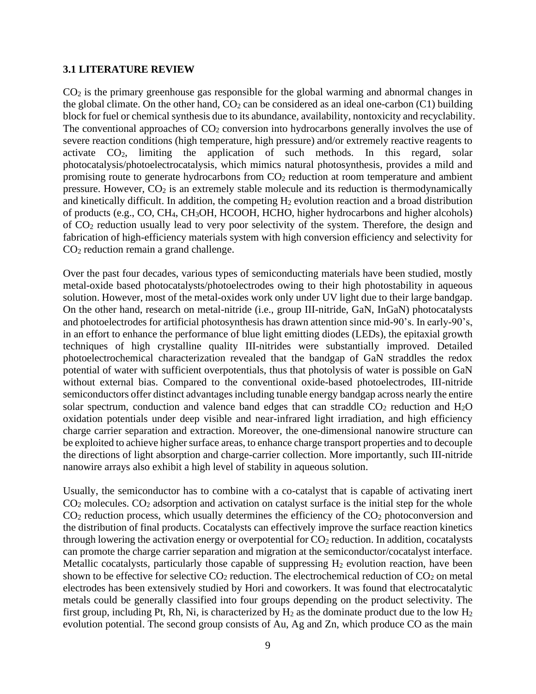#### **3.1 LITERATURE REVIEW**

CO<sup>2</sup> is the primary greenhouse gas responsible for the global warming and abnormal changes in the global climate. On the other hand,  $CO<sub>2</sub>$  can be considered as an ideal one-carbon (C1) building block for fuel or chemical synthesis due to its abundance, availability, nontoxicity and recyclability. The conventional approaches of  $CO<sub>2</sub>$  conversion into hydrocarbons generally involves the use of severe reaction conditions (high temperature, high pressure) and/or extremely reactive reagents to activate CO2, limiting the application of such methods. In this regard, solar photocatalysis/photoelectrocatalysis, which mimics natural photosynthesis, provides a mild and promising route to generate hydrocarbons from  $CO<sub>2</sub>$  reduction at room temperature and ambient pressure. However,  $CO<sub>2</sub>$  is an extremely stable molecule and its reduction is thermodynamically and kinetically difficult. In addition, the competing  $H_2$  evolution reaction and a broad distribution of products (e.g., CO, CH4, CH3OH, HCOOH, HCHO, higher hydrocarbons and higher alcohols) of CO<sup>2</sup> reduction usually lead to very poor selectivity of the system. Therefore, the design and fabrication of high-efficiency materials system with high conversion efficiency and selectivity for CO<sup>2</sup> reduction remain a grand challenge.

Over the past four decades, various types of semiconducting materials have been studied, mostly metal-oxide based photocatalysts/photoelectrodes owing to their high photostability in aqueous solution. However, most of the metal-oxides work only under UV light due to their large bandgap. On the other hand, research on metal-nitride (i.e., group III-nitride, GaN, InGaN) photocatalysts and photoelectrodes for artificial photosynthesis has drawn attention since mid-90's. In early-90's, in an effort to enhance the performance of blue light emitting diodes (LEDs), the epitaxial growth techniques of high crystalline quality III-nitrides were substantially improved. Detailed photoelectrochemical characterization revealed that the bandgap of GaN straddles the redox potential of water with sufficient overpotentials, thus that photolysis of water is possible on GaN without external bias. Compared to the conventional oxide-based photoelectrodes, III-nitride semiconductors offer distinct advantages including tunable energy bandgap across nearly the entire solar spectrum, conduction and valence band edges that can straddle  $CO<sub>2</sub>$  reduction and  $H<sub>2</sub>O$ oxidation potentials under deep visible and near-infrared light irradiation, and high efficiency charge carrier separation and extraction. Moreover, the one-dimensional nanowire structure can be exploited to achieve higher surface areas, to enhance charge transport properties and to decouple the directions of light absorption and charge-carrier collection. More importantly, such III-nitride nanowire arrays also exhibit a high level of stability in aqueous solution.

Usually, the semiconductor has to combine with a co-catalyst that is capable of activating inert  $CO<sub>2</sub>$  molecules.  $CO<sub>2</sub>$  adsorption and activation on catalyst surface is the initial step for the whole  $CO<sub>2</sub>$  reduction process, which usually determines the efficiency of the  $CO<sub>2</sub>$  photoconversion and the distribution of final products. Cocatalysts can effectively improve the surface reaction kinetics through lowering the activation energy or overpotential for  $CO<sub>2</sub>$  reduction. In addition, cocatalysts can promote the charge carrier separation and migration at the semiconductor/cocatalyst interface. Metallic cocatalysts, particularly those capable of suppressing  $H_2$  evolution reaction, have been shown to be effective for selective  $CO<sub>2</sub>$  reduction. The electrochemical reduction of  $CO<sub>2</sub>$  on metal electrodes has been extensively studied by Hori and coworkers. It was found that electrocatalytic metals could be generally classified into four groups depending on the product selectivity. The first group, including Pt, Rh, Ni, is characterized by  $H_2$  as the dominate product due to the low  $H_2$ evolution potential. The second group consists of Au, Ag and Zn, which produce CO as the main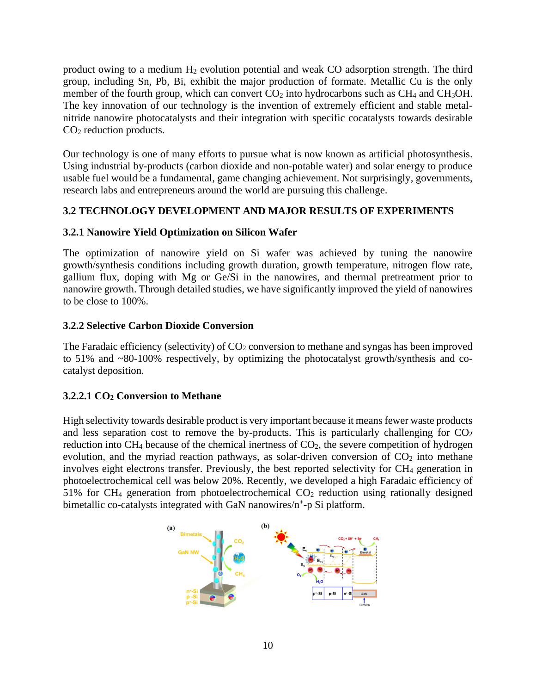product owing to a medium H<sup>2</sup> evolution potential and weak CO adsorption strength. The third group, including Sn, Pb, Bi, exhibit the major production of formate. Metallic Cu is the only member of the fourth group, which can convert  $CO<sub>2</sub>$  into hydrocarbons such as  $CH<sub>4</sub>$  and  $CH<sub>3</sub>OH$ . The key innovation of our technology is the invention of extremely efficient and stable metalnitride nanowire photocatalysts and their integration with specific cocatalysts towards desirable CO<sup>2</sup> reduction products.

Our technology is one of many efforts to pursue what is now known as artificial photosynthesis. Using industrial by-products (carbon dioxide and non-potable water) and solar energy to produce usable fuel would be a fundamental, game changing achievement. Not surprisingly, governments, research labs and entrepreneurs around the world are pursuing this challenge.

## **3.2 TECHNOLOGY DEVELOPMENT AND MAJOR RESULTS OF EXPERIMENTS**

## **3.2.1 Nanowire Yield Optimization on Silicon Wafer**

The optimization of nanowire yield on Si wafer was achieved by tuning the nanowire growth/synthesis conditions including growth duration, growth temperature, nitrogen flow rate, gallium flux, doping with Mg or Ge/Si in the nanowires, and thermal pretreatment prior to nanowire growth. Through detailed studies, we have significantly improved the yield of nanowires to be close to 100%.

## **3.2.2 Selective Carbon Dioxide Conversion**

The Faradaic efficiency (selectivity) of  $CO<sub>2</sub>$  conversion to methane and syngas has been improved to 51% and ~80-100% respectively, by optimizing the photocatalyst growth/synthesis and cocatalyst deposition.

## **3.2.2.1 CO<sup>2</sup> Conversion to Methane**

High selectivity towards desirable product is very important because it means fewer waste products and less separation cost to remove the by-products. This is particularly challenging for  $CO<sub>2</sub>$ reduction into  $CH_4$  because of the chemical inertness of  $CO_2$ , the severe competition of hydrogen evolution, and the myriad reaction pathways, as solar-driven conversion of  $CO<sub>2</sub>$  into methane involves eight electrons transfer. Previously, the best reported selectivity for CH<sub>4</sub> generation in photoelectrochemical cell was below 20%. Recently, we developed a high Faradaic efficiency of  $51\%$  for CH<sub>4</sub> generation from photoelectrochemical CO<sub>2</sub> reduction using rationally designed bimetallic co-catalysts integrated with GaN nanowires/n<sup>+</sup>-p Si platform.

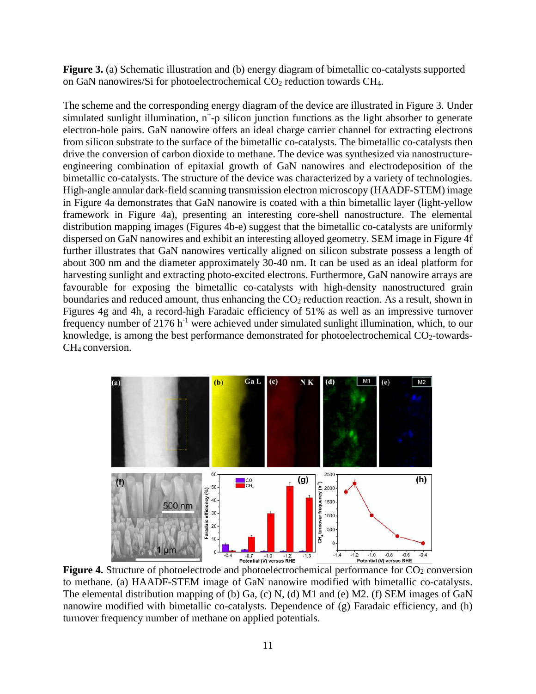**Figure 3.** (a) Schematic illustration and (b) energy diagram of bimetallic co-catalysts supported on GaN nanowires/Si for photoelectrochemical CO<sub>2</sub> reduction towards CH<sub>4</sub>.

The scheme and the corresponding energy diagram of the device are illustrated in Figure 3. Under simulated sunlight illumination,  $n^+$ -p silicon junction functions as the light absorber to generate electron-hole pairs. GaN nanowire offers an ideal charge carrier channel for extracting electrons from silicon substrate to the surface of the bimetallic co-catalysts. The bimetallic co-catalysts then drive the conversion of carbon dioxide to methane. The device was synthesized via nanostructureengineering combination of epitaxial growth of GaN nanowires and electrodeposition of the bimetallic co-catalysts. The structure of the device was characterized by a variety of technologies. High-angle annular dark-field scanning transmission electron microscopy (HAADF-STEM) image in Figure 4a demonstrates that GaN nanowire is coated with a thin bimetallic layer (light-yellow framework in Figure 4a), presenting an interesting core-shell nanostructure. The elemental distribution mapping images (Figures 4b-e) suggest that the bimetallic co-catalysts are uniformly dispersed on GaN nanowires and exhibit an interesting alloyed geometry. SEM image in Figure 4f further illustrates that GaN nanowires vertically aligned on silicon substrate possess a length of about 300 nm and the diameter approximately 30-40 nm. It can be used as an ideal platform for harvesting sunlight and extracting photo-excited electrons. Furthermore, GaN nanowire arrays are favourable for exposing the bimetallic co-catalysts with high-density nanostructured grain boundaries and reduced amount, thus enhancing the  $CO<sub>2</sub>$  reduction reaction. As a result, shown in Figures 4g and 4h, a record-high Faradaic efficiency of 51% as well as an impressive turnover frequency number of  $2176$  h<sup>-1</sup> were achieved under simulated sunlight illumination, which, to our knowledge, is among the best performance demonstrated for photoelectrochemical  $CO<sub>2</sub>$ -towards-CH<sub>4</sub> conversion.



**Figure 4.** Structure of photoelectrode and photoelectrochemical performance for CO<sub>2</sub> conversion to methane. (a) HAADF-STEM image of GaN nanowire modified with bimetallic co-catalysts. The elemental distribution mapping of (b) Ga, (c) N, (d) M1 and (e) M2. (f) SEM images of GaN nanowire modified with bimetallic co-catalysts. Dependence of (g) Faradaic efficiency, and (h) turnover frequency number of methane on applied potentials.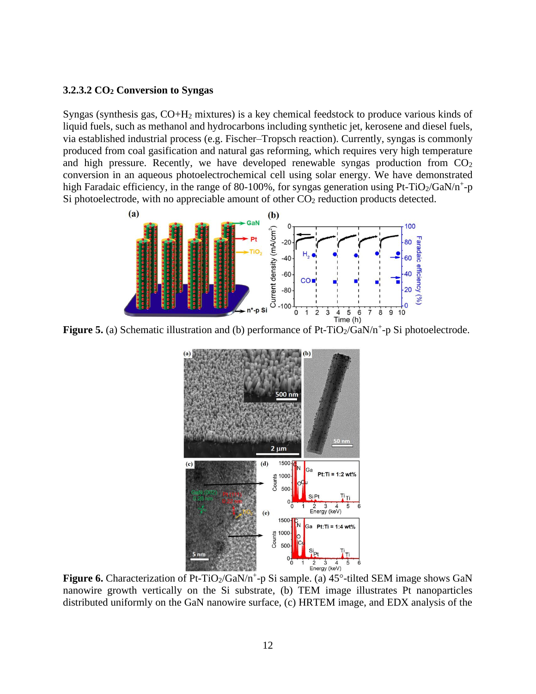#### **3.2.3.2 CO<sup>2</sup> Conversion to Syngas**

Syngas (synthesis gas, CO+H<sup>2</sup> mixtures) is a key chemical feedstock to produce various kinds of liquid fuels, such as methanol and hydrocarbons including synthetic jet, kerosene and diesel fuels, via established industrial process (e.g. Fischer–Tropsch reaction). Currently, syngas is commonly produced from coal gasification and natural gas reforming, which requires very high temperature and high pressure. Recently, we have developed renewable syngas production from  $CO<sub>2</sub>$ conversion in an aqueous photoelectrochemical cell using solar energy. We have demonstrated high Faradaic efficiency, in the range of 80-100%, for syngas generation using Pt-TiO<sub>2</sub>/GaN/n<sup>+</sup>-p Si photoelectrode, with no appreciable amount of other  $CO<sub>2</sub>$  reduction products detected.



Figure 5. (a) Schematic illustration and (b) performance of Pt-TiO<sub>2</sub>/GaN/n<sup>+</sup>-p Si photoelectrode.



Figure 6. Characterization of Pt-TiO<sub>2</sub>/GaN/n<sup>+</sup>-p Si sample. (a) 45°-tilted SEM image shows GaN nanowire growth vertically on the Si substrate, (b) TEM image illustrates Pt nanoparticles distributed uniformly on the GaN nanowire surface, (c) HRTEM image, and EDX analysis of the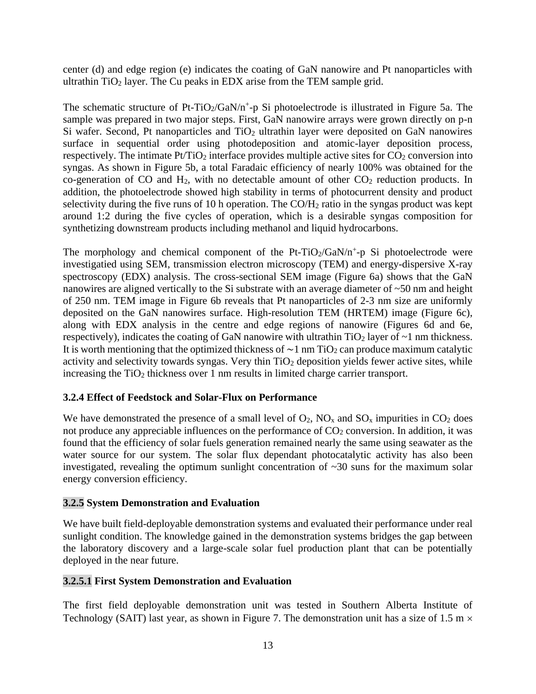center (d) and edge region (e) indicates the coating of GaN nanowire and Pt nanoparticles with ultrathin  $TiO<sub>2</sub>$  layer. The Cu peaks in EDX arise from the TEM sample grid.

The schematic structure of Pt-TiO<sub>2</sub>/GaN/n<sup>+</sup>-p Si photoelectrode is illustrated in Figure 5a. The sample was prepared in two major steps. First, GaN nanowire arrays were grown directly on p-n Si wafer. Second, Pt nanoparticles and  $TiO<sub>2</sub>$  ultrathin layer were deposited on GaN nanowires surface in sequential order using photodeposition and atomic-layer deposition process, respectively. The intimate  $Pt/TiO<sub>2</sub>$  interface provides multiple active sites for  $CO<sub>2</sub>$  conversion into syngas. As shown in Figure 5b, a total Faradaic efficiency of nearly 100% was obtained for the co-generation of CO and  $H_2$ , with no detectable amount of other  $CO_2$  reduction products. In addition, the photoelectrode showed high stability in terms of photocurrent density and product selectivity during the five runs of 10 h operation. The  $CO/H<sub>2</sub>$  ratio in the syngas product was kept around 1:2 during the five cycles of operation, which is a desirable syngas composition for synthetizing downstream products including methanol and liquid hydrocarbons.

The morphology and chemical component of the Pt-TiO<sub>2</sub>/GaN/n<sup>+</sup>-p Si photoelectrode were investigatied using SEM, transmission electron microscopy (TEM) and energy-dispersive X-ray spectroscopy (EDX) analysis. The cross-sectional SEM image (Figure 6a) shows that the GaN nanowires are aligned vertically to the Si substrate with an average diameter of ~50 nm and height of 250 nm. TEM image in Figure 6b reveals that Pt nanoparticles of 2-3 nm size are uniformly deposited on the GaN nanowires surface. High-resolution TEM (HRTEM) image (Figure 6c), along with EDX analysis in the centre and edge regions of nanowire (Figures 6d and 6e, respectively), indicates the coating of GaN nanowire with ultrathin  $TiO<sub>2</sub>$  layer of  $\sim$ 1 nm thickness. It is worth mentioning that the optimized thickness of  $\sim$ 1 nm TiO<sub>2</sub> can produce maximum catalytic activity and selectivity towards syngas. Very thin TiO<sub>2</sub> deposition yields fewer active sites, while increasing the  $TiO<sub>2</sub>$  thickness over 1 nm results in limited charge carrier transport.

## **3.2.4 Effect of Feedstock and Solar-Flux on Performance**

We have demonstrated the presence of a small level of  $O_2$ ,  $NO_x$  and  $SO_x$  impurities in  $CO_2$  does not produce any appreciable influences on the performance of  $CO<sub>2</sub>$  conversion. In addition, it was found that the efficiency of solar fuels generation remained nearly the same using seawater as the water source for our system. The solar flux dependant photocatalytic activity has also been investigated, revealing the optimum sunlight concentration of  $\sim$ 30 suns for the maximum solar energy conversion efficiency.

## **3.2.5 System Demonstration and Evaluation**

We have built field-deployable demonstration systems and evaluated their performance under real sunlight condition. The knowledge gained in the demonstration systems bridges the gap between the laboratory discovery and a large-scale solar fuel production plant that can be potentially deployed in the near future.

## **3.2.5.1 First System Demonstration and Evaluation**

The first field deployable demonstration unit was tested in Southern Alberta Institute of Technology (SAIT) last year, as shown in Figure 7. The demonstration unit has a size of 1.5 m  $\times$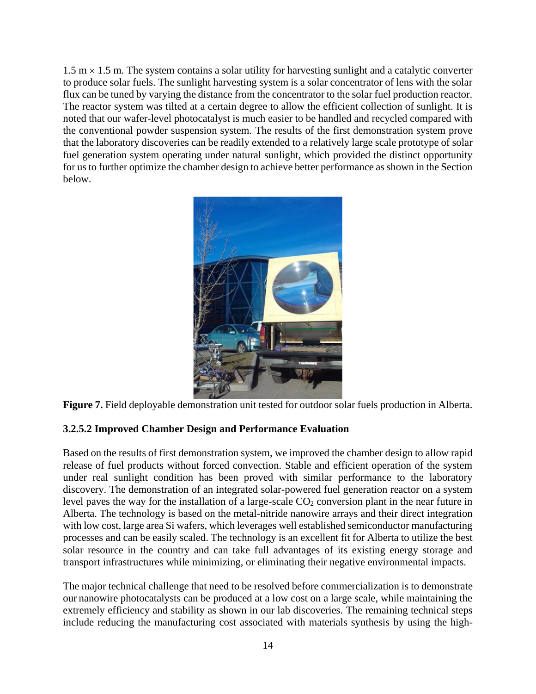$1.5 \text{ m} \times 1.5 \text{ m}$ . The system contains a solar utility for harvesting sunlight and a catalytic converter to produce solar fuels. The sunlight harvesting system is a solar concentrator of lens with the solar flux can be tuned by varying the distance from the concentrator to the solar fuel production reactor. The reactor system was tilted at a certain degree to allow the efficient collection of sunlight. It is noted that our wafer-level photocatalyst is much easier to be handled and recycled compared with the conventional powder suspension system. The results of the first demonstration system prove that the laboratory discoveries can be readily extended to a relatively large scale prototype of solar fuel generation system operating under natural sunlight, which provided the distinct opportunity for us to further optimize the chamber design to achieve better performance as shown in the Section below.



**Figure 7.** Field deployable demonstration unit tested for outdoor solar fuels production in Alberta.

### **3.2.5.2 Improved Chamber Design and Performance Evaluation**

Based on the results of first demonstration system, we improved the chamber design to allow rapid release of fuel products without forced convection. Stable and efficient operation of the system under real sunlight condition has been proved with similar performance to the laboratory discovery. The demonstration of an integrated solar-powered fuel generation reactor on a system level paves the way for the installation of a large-scale CO<sub>2</sub> conversion plant in the near future in Alberta. The technology is based on the metal-nitride nanowire arrays and their direct integration with low cost, large area Si wafers, which leverages well established semiconductor manufacturing processes and can be easily scaled. The technology is an excellent fit for Alberta to utilize the best solar resource in the country and can take full advantages of its existing energy storage and transport infrastructures while minimizing, or eliminating their negative environmental impacts.

The major technical challenge that need to be resolved before commercialization is to demonstrate our nanowire photocatalysts can be produced at a low cost on a large scale, while maintaining the extremely efficiency and stability as shown in our lab discoveries. The remaining technical steps include reducing the manufacturing cost associated with materials synthesis by using the high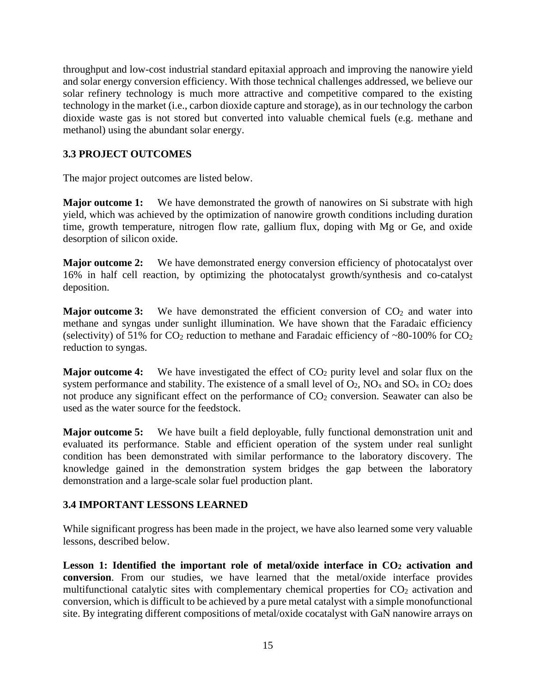throughput and low-cost industrial standard epitaxial approach and improving the nanowire yield and solar energy conversion efficiency. With those technical challenges addressed, we believe our solar refinery technology is much more attractive and competitive compared to the existing technology in the market (i.e., carbon dioxide capture and storage), as in our technology the carbon dioxide waste gas is not stored but converted into valuable chemical fuels (e.g. methane and methanol) using the abundant solar energy.

## **3.3 PROJECT OUTCOMES**

The major project outcomes are listed below.

**Major outcome 1:** We have demonstrated the growth of nanowires on Si substrate with high yield, which was achieved by the optimization of nanowire growth conditions including duration time, growth temperature, nitrogen flow rate, gallium flux, doping with Mg or Ge, and oxide desorption of silicon oxide.

**Major outcome 2:** We have demonstrated energy conversion efficiency of photocatalyst over 16% in half cell reaction, by optimizing the photocatalyst growth/synthesis and co-catalyst deposition.

**Major outcome 3:** We have demonstrated the efficient conversion of  $CO<sub>2</sub>$  and water into methane and syngas under sunlight illumination. We have shown that the Faradaic efficiency (selectivity) of 51% for  $CO_2$  reduction to methane and Faradaic efficiency of ~80-100% for  $CO_2$ reduction to syngas.

**Major outcome 4:** We have investigated the effect of  $CO<sub>2</sub>$  purity level and solar flux on the system performance and stability. The existence of a small level of  $O_2$ ,  $NO_x$  and  $SO_x$  in  $CO_2$  does not produce any significant effect on the performance of  $CO<sub>2</sub>$  conversion. Seawater can also be used as the water source for the feedstock.

**Major outcome 5:** We have built a field deployable, fully functional demonstration unit and evaluated its performance. Stable and efficient operation of the system under real sunlight condition has been demonstrated with similar performance to the laboratory discovery. The knowledge gained in the demonstration system bridges the gap between the laboratory demonstration and a large-scale solar fuel production plant.

## **3.4 IMPORTANT LESSONS LEARNED**

While significant progress has been made in the project, we have also learned some very valuable lessons, described below.

**Lesson 1: Identified the important role of metal/oxide interface in CO<sup>2</sup> activation and conversion**. From our studies, we have learned that the metal/oxide interface provides multifunctional catalytic sites with complementary chemical properties for  $CO<sub>2</sub>$  activation and conversion, which is difficult to be achieved by a pure metal catalyst with a simple monofunctional site. By integrating different compositions of metal/oxide cocatalyst with GaN nanowire arrays on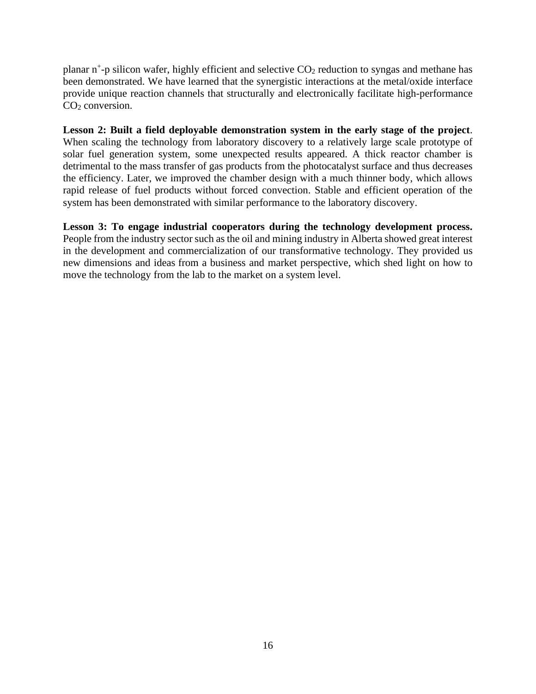planar n<sup>+</sup>-p silicon wafer, highly efficient and selective CO<sub>2</sub> reduction to syngas and methane has been demonstrated. We have learned that the synergistic interactions at the metal/oxide interface provide unique reaction channels that structurally and electronically facilitate high-performance  $CO<sub>2</sub>$  conversion.

**Lesson 2: Built a field deployable demonstration system in the early stage of the project**. When scaling the technology from laboratory discovery to a relatively large scale prototype of solar fuel generation system, some unexpected results appeared. A thick reactor chamber is detrimental to the mass transfer of gas products from the photocatalyst surface and thus decreases the efficiency. Later, we improved the chamber design with a much thinner body, which allows rapid release of fuel products without forced convection. Stable and efficient operation of the system has been demonstrated with similar performance to the laboratory discovery.

**Lesson 3: To engage industrial cooperators during the technology development process.**  People from the industry sector such as the oil and mining industry in Alberta showed great interest in the development and commercialization of our transformative technology. They provided us new dimensions and ideas from a business and market perspective, which shed light on how to move the technology from the lab to the market on a system level.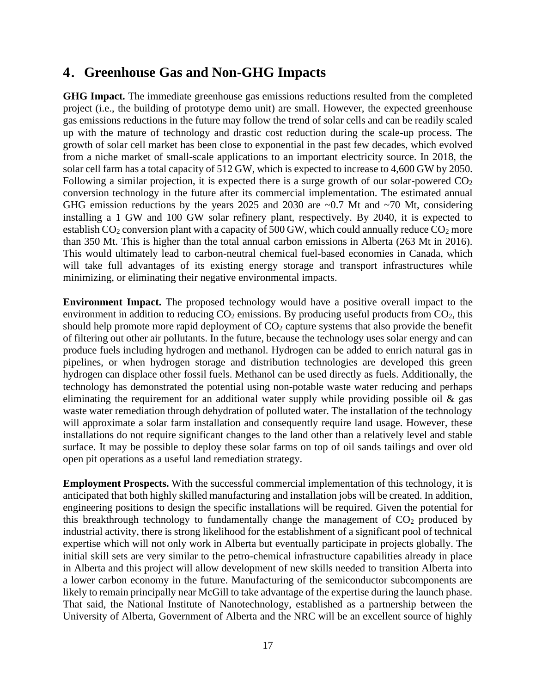## **4**.**Greenhouse Gas and Non-GHG Impacts**

**GHG Impact.** The immediate greenhouse gas emissions reductions resulted from the completed project (i.e., the building of prototype demo unit) are small. However, the expected greenhouse gas emissions reductions in the future may follow the trend of solar cells and can be readily scaled up with the mature of technology and drastic cost reduction during the scale-up process. The growth of solar cell market has been close to exponential in the past few decades, which evolved from a niche market of small-scale applications to an important electricity source. In 2018, the solar cell farm has a total capacity of 512 GW, which is expected to increase to 4,600 GW by 2050. Following a similar projection, it is expected there is a surge growth of our solar-powered  $CO<sub>2</sub>$ conversion technology in the future after its commercial implementation. The estimated annual GHG emission reductions by the years 2025 and 2030 are  $\sim 0.7$  Mt and  $\sim 70$  Mt, considering installing a 1 GW and 100 GW solar refinery plant, respectively. By 2040, it is expected to establish  $CO_2$  conversion plant with a capacity of 500 GW, which could annually reduce  $CO_2$  more than 350 Mt. This is higher than the total annual carbon emissions in Alberta (263 Mt in 2016). This would ultimately lead to carbon-neutral chemical fuel-based economies in Canada, which will take full advantages of its existing energy storage and transport infrastructures while minimizing, or eliminating their negative environmental impacts.

**Environment Impact.** The proposed technology would have a positive overall impact to the environment in addition to reducing  $CO_2$  emissions. By producing useful products from  $CO_2$ , this should help promote more rapid deployment of  $CO<sub>2</sub>$  capture systems that also provide the benefit of filtering out other air pollutants. In the future, because the technology uses solar energy and can produce fuels including hydrogen and methanol. Hydrogen can be added to enrich natural gas in pipelines, or when hydrogen storage and distribution technologies are developed this green hydrogen can displace other fossil fuels. Methanol can be used directly as fuels. Additionally, the technology has demonstrated the potential using non-potable waste water reducing and perhaps eliminating the requirement for an additional water supply while providing possible oil  $\&$  gas waste water remediation through dehydration of polluted water. The installation of the technology will approximate a solar farm installation and consequently require land usage. However, these installations do not require significant changes to the land other than a relatively level and stable surface. It may be possible to deploy these solar farms on top of oil sands tailings and over old open pit operations as a useful land remediation strategy.

**Employment Prospects.** With the successful commercial implementation of this technology, it is anticipated that both highly skilled manufacturing and installation jobs will be created. In addition, engineering positions to design the specific installations will be required. Given the potential for this breakthrough technology to fundamentally change the management of  $CO<sub>2</sub>$  produced by industrial activity, there is strong likelihood for the establishment of a significant pool of technical expertise which will not only work in Alberta but eventually participate in projects globally. The initial skill sets are very similar to the petro-chemical infrastructure capabilities already in place in Alberta and this project will allow development of new skills needed to transition Alberta into a lower carbon economy in the future. Manufacturing of the semiconductor subcomponents are likely to remain principally near McGill to take advantage of the expertise during the launch phase. That said, the National Institute of Nanotechnology, established as a partnership between the University of Alberta, Government of Alberta and the NRC will be an excellent source of highly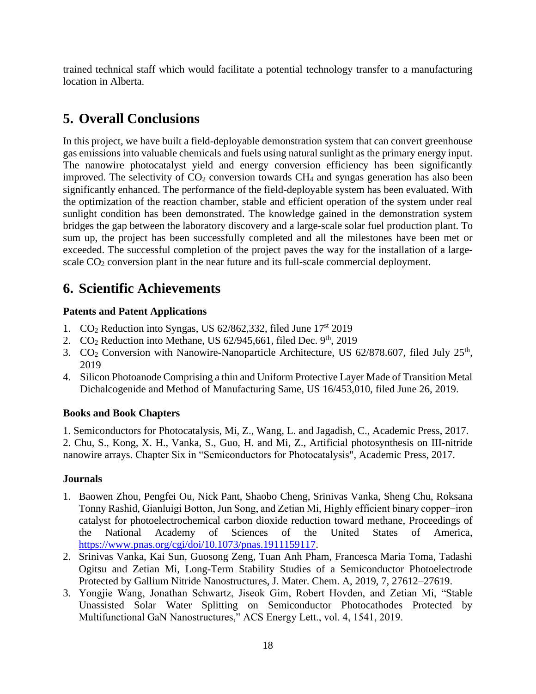trained technical staff which would facilitate a potential technology transfer to a manufacturing location in Alberta.

## **5. Overall Conclusions**

In this project, we have built a field-deployable demonstration system that can convert greenhouse gas emissions into valuable chemicals and fuels using natural sunlight as the primary energy input. The nanowire photocatalyst yield and energy conversion efficiency has been significantly improved. The selectivity of  $CO<sub>2</sub>$  conversion towards  $CH<sub>4</sub>$  and syngas generation has also been significantly enhanced. The performance of the field-deployable system has been evaluated. With the optimization of the reaction chamber, stable and efficient operation of the system under real sunlight condition has been demonstrated. The knowledge gained in the demonstration system bridges the gap between the laboratory discovery and a large-scale solar fuel production plant. To sum up, the project has been successfully completed and all the milestones have been met or exceeded. The successful completion of the project paves the way for the installation of a largescale CO<sub>2</sub> conversion plant in the near future and its full-scale commercial deployment.

## **6. Scientific Achievements**

## **Patents and Patent Applications**

- 1. CO<sub>2</sub> Reduction into Syngas, US 62/862,332, filed June 17<sup>st</sup> 2019
- 2.  $CO<sub>2</sub>$  Reduction into Methane, US 62/945,661, filed Dec. 9<sup>th</sup>, 2019
- 3.  $CO<sub>2</sub>$  Conversion with Nanowire-Nanoparticle Architecture, US 62/878.607, filed July 25<sup>th</sup>, 2019
- 4. Silicon Photoanode Comprising a thin and Uniform Protective Layer Made of Transition Metal Dichalcogenide and Method of Manufacturing Same, US 16/453,010, filed June 26, 2019.

## **Books and Book Chapters**

1. Semiconductors for Photocatalysis, Mi, Z., Wang, L. and Jagadish, C., Academic Press, 2017. 2. Chu, S., Kong, X. H., Vanka, S., Guo, H. and Mi, Z., Artificial photosynthesis on III-nitride nanowire arrays. Chapter Six in "Semiconductors for Photocatalysis", Academic Press, 2017.

## **Journals**

- 1. Baowen Zhou, Pengfei Ou, Nick Pant, Shaobo Cheng, Srinivas Vanka, Sheng Chu, Roksana Tonny Rashid, Gianluigi Botton, Jun Song, and Zetian Mi, Highly efficient binary copper−iron catalyst for photoelectrochemical carbon dioxide reduction toward methane, Proceedings of the National Academy of Sciences of the United States of America, [https://www.pnas.org/cgi/doi/10.1073/pnas.1911159117.](https://www.pnas.org/cgi/doi/10.1073/pnas.1911159117)
- 2. Srinivas Vanka, Kai Sun, Guosong Zeng, Tuan Anh Pham, Francesca Maria Toma, Tadashi Ogitsu and Zetian Mi, Long-Term Stability Studies of a Semiconductor Photoelectrode Protected by Gallium Nitride Nanostructures, J. Mater. Chem. A, 2019, 7, 27612–27619.
- 3. Yongjie Wang, Jonathan Schwartz, Jiseok Gim, Robert Hovden, and Zetian Mi, "Stable Unassisted Solar Water Splitting on Semiconductor Photocathodes Protected by Multifunctional GaN Nanostructures," ACS Energy Lett., vol. 4, 1541, 2019.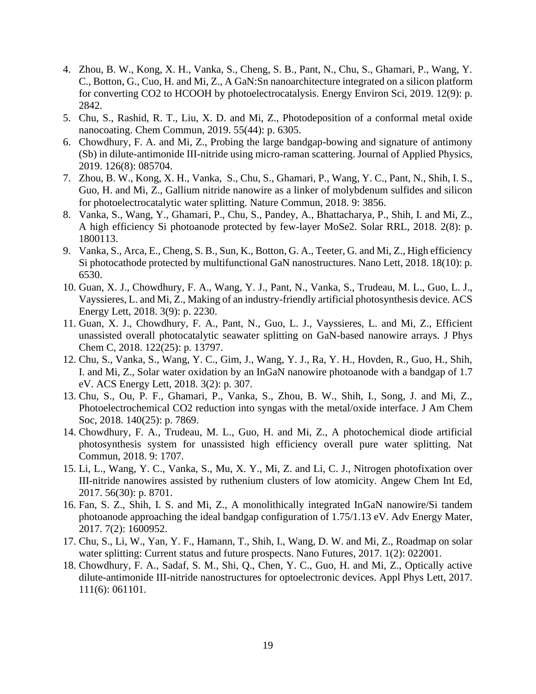- 4. Zhou, B. W., Kong, X. H., Vanka, S., Cheng, S. B., Pant, N., Chu, S., Ghamari, P., Wang, Y. C., Botton, G., Cuo, H. and Mi, Z., A GaN:Sn nanoarchitecture integrated on a silicon platform for converting CO2 to HCOOH by photoelectrocatalysis. Energy Environ Sci, 2019. 12(9): p. 2842.
- 5. Chu, S., Rashid, R. T., Liu, X. D. and Mi, Z., Photodeposition of a conformal metal oxide nanocoating. Chem Commun, 2019. 55(44): p. 6305.
- 6. Chowdhury, F. A. and Mi, Z., Probing the large bandgap-bowing and signature of antimony (Sb) in dilute-antimonide III-nitride using micro-raman scattering. Journal of Applied Physics, 2019. 126(8): 085704.
- 7. Zhou, B. W., Kong, X. H., Vanka, S., Chu, S., Ghamari, P., Wang, Y. C., Pant, N., Shih, I. S., Guo, H. and Mi, Z., Gallium nitride nanowire as a linker of molybdenum sulfides and silicon for photoelectrocatalytic water splitting. Nature Commun, 2018. 9: 3856.
- 8. Vanka, S., Wang, Y., Ghamari, P., Chu, S., Pandey, A., Bhattacharya, P., Shih, I. and Mi, Z., A high efficiency Si photoanode protected by few-layer MoSe2. Solar RRL, 2018. 2(8): p. 1800113.
- 9. Vanka, S., Arca, E., Cheng, S. B., Sun, K., Botton, G. A., Teeter, G. and Mi, Z., High efficiency Si photocathode protected by multifunctional GaN nanostructures. Nano Lett, 2018. 18(10): p. 6530.
- 10. Guan, X. J., Chowdhury, F. A., Wang, Y. J., Pant, N., Vanka, S., Trudeau, M. L., Guo, L. J., Vayssieres, L. and Mi, Z., Making of an industry-friendly artificial photosynthesis device. ACS Energy Lett, 2018. 3(9): p. 2230.
- 11. Guan, X. J., Chowdhury, F. A., Pant, N., Guo, L. J., Vayssieres, L. and Mi, Z., Efficient unassisted overall photocatalytic seawater splitting on GaN-based nanowire arrays. J Phys Chem C, 2018. 122(25): p. 13797.
- 12. Chu, S., Vanka, S., Wang, Y. C., Gim, J., Wang, Y. J., Ra, Y. H., Hovden, R., Guo, H., Shih, I. and Mi, Z., Solar water oxidation by an InGaN nanowire photoanode with a bandgap of 1.7 eV. ACS Energy Lett, 2018. 3(2): p. 307.
- 13. Chu, S., Ou, P. F., Ghamari, P., Vanka, S., Zhou, B. W., Shih, I., Song, J. and Mi, Z., Photoelectrochemical CO2 reduction into syngas with the metal/oxide interface. J Am Chem Soc, 2018. 140(25): p. 7869.
- 14. Chowdhury, F. A., Trudeau, M. L., Guo, H. and Mi, Z., A photochemical diode artificial photosynthesis system for unassisted high efficiency overall pure water splitting. Nat Commun, 2018. 9: 1707.
- 15. Li, L., Wang, Y. C., Vanka, S., Mu, X. Y., Mi, Z. and Li, C. J., Nitrogen photofixation over III-nitride nanowires assisted by ruthenium clusters of low atomicity. Angew Chem Int Ed, 2017. 56(30): p. 8701.
- 16. Fan, S. Z., Shih, I. S. and Mi, Z., A monolithically integrated InGaN nanowire/Si tandem photoanode approaching the ideal bandgap configuration of 1.75/1.13 eV. Adv Energy Mater, 2017. 7(2): 1600952.
- 17. Chu, S., Li, W., Yan, Y. F., Hamann, T., Shih, I., Wang, D. W. and Mi, Z., Roadmap on solar water splitting: Current status and future prospects. Nano Futures, 2017. 1(2): 022001.
- 18. Chowdhury, F. A., Sadaf, S. M., Shi, Q., Chen, Y. C., Guo, H. and Mi, Z., Optically active dilute-antimonide III-nitride nanostructures for optoelectronic devices. Appl Phys Lett, 2017. 111(6): 061101.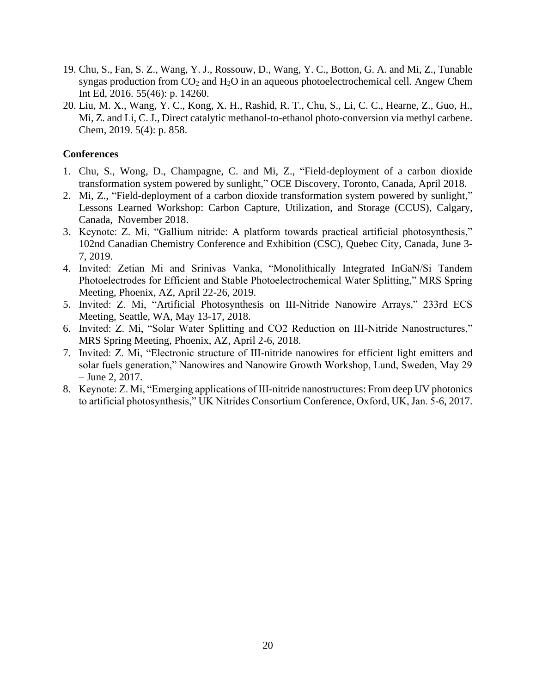- 19. Chu, S., Fan, S. Z., Wang, Y. J., Rossouw, D., Wang, Y. C., Botton, G. A. and Mi, Z., Tunable syngas production from  $CO<sub>2</sub>$  and  $H<sub>2</sub>O$  in an aqueous photoelectrochemical cell. Angew Chem Int Ed, 2016. 55(46): p. 14260.
- 20. Liu, M. X., Wang, Y. C., Kong, X. H., Rashid, R. T., Chu, S., Li, C. C., Hearne, Z., Guo, H., Mi, Z. and Li, C. J., Direct catalytic methanol-to-ethanol photo-conversion via methyl carbene. Chem, 2019. 5(4): p. 858.

#### **Conferences**

- 1. Chu, S., Wong, D., Champagne, C. and Mi, Z., "Field-deployment of a carbon dioxide transformation system powered by sunlight," OCE Discovery, Toronto, Canada, April 2018.
- 2. Mi, Z., "Field-deployment of a carbon dioxide transformation system powered by sunlight," Lessons Learned Workshop: Carbon Capture, Utilization, and Storage (CCUS), Calgary, Canada, November 2018.
- 3. Keynote: Z. Mi, "Gallium nitride: A platform towards practical artificial photosynthesis," 102nd Canadian Chemistry Conference and Exhibition (CSC), Quebec City, Canada, June 3- 7, 2019.
- 4. Invited: Zetian Mi and Srinivas Vanka, "Monolithically Integrated InGaN/Si Tandem Photoelectrodes for Efficient and Stable Photoelectrochemical Water Splitting," MRS Spring Meeting, Phoenix, AZ, April 22-26, 2019.
- 5. Invited: Z. Mi, "Artificial Photosynthesis on III-Nitride Nanowire Arrays," 233rd ECS Meeting, Seattle, WA, May 13-17, 2018.
- 6. Invited: Z. Mi, "Solar Water Splitting and CO2 Reduction on III-Nitride Nanostructures," MRS Spring Meeting, Phoenix, AZ, April 2-6, 2018.
- 7. Invited: Z. Mi, "Electronic structure of III-nitride nanowires for efficient light emitters and solar fuels generation," Nanowires and Nanowire Growth Workshop, Lund, Sweden, May 29 – June 2, 2017.
- 8. Keynote: Z. Mi, "Emerging applications of III-nitride nanostructures: From deep UV photonics to artificial photosynthesis," UK Nitrides Consortium Conference, Oxford, UK, Jan. 5-6, 2017.